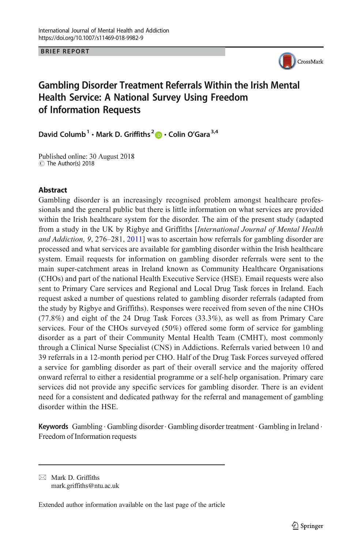BRIEF REPORT



# Gambling Disorder Treatment Referrals Within the Irish Mental Health Service: A National Survey Using Freedom of Information Requests

David Columb<sup>1</sup>  $\cdot$  Mark D. Griffiths<sup>2</sup>  $\cdot$  Colin O'Gara<sup>3,4</sup>

Published online: 30 August 2018 C The Author(s) 2018

#### Abstract

Gambling disorder is an increasingly recognised problem amongst healthcare professionals and the general public but there is little information on what services are provided within the Irish healthcare system for the disorder. The aim of the present study (adapted from a study in the UK by Rigbye and Griffiths [International Journal of Mental Health and Addiction, 9, 276–281, [2011](#page-7-0)] was to ascertain how referrals for gambling disorder are processed and what services are available for gambling disorder within the Irish healthcare system. Email requests for information on gambling disorder referrals were sent to the main super-catchment areas in Ireland known as Community Healthcare Organisations (CHOs) and part of the national Health Executive Service (HSE). Email requests were also sent to Primary Care services and Regional and Local Drug Task forces in Ireland. Each request asked a number of questions related to gambling disorder referrals (adapted from the study by Rigbye and Griffiths). Responses were received from seven of the nine CHOs (77.8%) and eight of the 24 Drug Task Forces (33.3%), as well as from Primary Care services. Four of the CHOs surveyed (50%) offered some form of service for gambling disorder as a part of their Community Mental Health Team (CMHT), most commonly through a Clinical Nurse Specialist (CNS) in Addictions. Referrals varied between 10 and 39 referrals in a 12-month period per CHO. Half of the Drug Task Forces surveyed offered a service for gambling disorder as part of their overall service and the majority offered onward referral to either a residential programme or a self-help organisation. Primary care services did not provide any specific services for gambling disorder. There is an evident need for a consistent and dedicated pathway for the referral and management of gambling disorder within the HSE.

Keywords Gambling . Gambling disorder. Gambling disorder treatment . Gambling in Ireland . Freedom of Information requests

 $\boxtimes$  Mark D. Griffiths [mark.griffiths@ntu.ac.uk](mailto:mark.griffiths@ntu.ac.uk)

Extended author information available on the last page of the article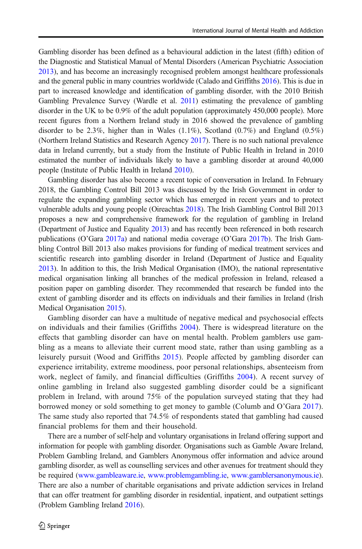Gambling disorder has been defined as a behavioural addiction in the latest (fifth) edition of the Diagnostic and Statistical Manual of Mental Disorders (American Psychiatric Association [2013](#page-6-0)), and has become an increasingly recognised problem amongst healthcare professionals and the general public in many countries worldwide (Calado and Griffiths [2016](#page-6-0)). This is due in part to increased knowledge and identification of gambling disorder, with the 2010 British Gambling Prevalence Survey (Wardle et al. [2011\)](#page-7-0) estimating the prevalence of gambling disorder in the UK to be 0.9% of the adult population (approximately 450,000 people). More recent figures from a Northern Ireland study in 2016 showed the prevalence of gambling disorder to be 2.3%, higher than in Wales  $(1.1\%)$ , Scotland  $(0.7\%)$  and England  $(0.5\%)$ (Northern Ireland Statistics and Research Agency [2017](#page-7-0)). There is no such national prevalence data in Ireland currently, but a study from the Institute of Public Health in Ireland in 2010 estimated the number of individuals likely to have a gambling disorder at around 40,000 people (Institute of Public Health in Ireland [2010](#page-7-0)).

Gambling disorder has also become a recent topic of conversation in Ireland. In February 2018, the Gambling Control Bill 2013 was discussed by the Irish Government in order to regulate the expanding gambling sector which has emerged in recent years and to protect vulnerable adults and young people (Oireachtas [2018\)](#page-7-0). The Irish Gambling Control Bill 2013 proposes a new and comprehensive framework for the regulation of gambling in Ireland (Department of Justice and Equality [2013](#page-7-0)) and has recently been referenced in both research publications (O'Gara [2017a\)](#page-7-0) and national media coverage (O'Gara [2017b\)](#page-7-0). The Irish Gambling Control Bill 2013 also makes provisions for funding of medical treatment services and scientific research into gambling disorder in Ireland (Department of Justice and Equality [2013](#page-7-0)). In addition to this, the Irish Medical Organisation (IMO), the national representative medical organisation linking all branches of the medical profession in Ireland, released a position paper on gambling disorder. They recommended that research be funded into the extent of gambling disorder and its effects on individuals and their families in Ireland (Irish Medical Organisation [2015](#page-7-0)).

Gambling disorder can have a multitude of negative medical and psychosocial effects on individuals and their families (Griffiths [2004\)](#page-7-0). There is widespread literature on the effects that gambling disorder can have on mental health. Problem gamblers use gambling as a means to alleviate their current mood state, rather than using gambling as a leisurely pursuit (Wood and Griffiths [2015](#page-7-0)). People affected by gambling disorder can experience irritability, extreme moodiness, poor personal relationships, absenteeism from work, neglect of family, and financial difficulties (Griffiths [2004](#page-7-0)). A recent survey of online gambling in Ireland also suggested gambling disorder could be a significant problem in Ireland, with around 75% of the population surveyed stating that they had borrowed money or sold something to get money to gamble (Columb and O'Gara [2017](#page-6-0)). The same study also reported that 74.5% of respondents stated that gambling had caused financial problems for them and their household.

There are a number of self-help and voluntary organisations in Ireland offering support and information for people with gambling disorder. Organisations such as Gamble Aware Ireland, Problem Gambling Ireland, and Gamblers Anonymous offer information and advice around gambling disorder, as well as counselling services and other avenues for treatment should they be required [\(www.gambleaware.ie](http://www.gambleaware.ie), [www.problemgambling.ie](http://www.problemgambling.ie), [www.gamblersanonymous.ie](http://www.gamblersanonymous.ie)). There are also a number of charitable organisations and private addiction services in Ireland that can offer treatment for gambling disorder in residential, inpatient, and outpatient settings (Problem Gambling Ireland [2016](#page-7-0)).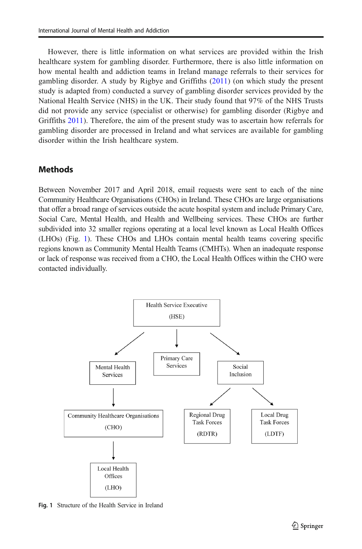However, there is little information on what services are provided within the Irish healthcare system for gambling disorder. Furthermore, there is also little information on how mental health and addiction teams in Ireland manage referrals to their services for gambling disorder. A study by Rigbye and Griffiths ([2011\)](#page-7-0) (on which study the present study is adapted from) conducted a survey of gambling disorder services provided by the National Health Service (NHS) in the UK. Their study found that 97% of the NHS Trusts did not provide any service (specialist or otherwise) for gambling disorder (Rigbye and Griffiths [2011](#page-7-0)). Therefore, the aim of the present study was to ascertain how referrals for gambling disorder are processed in Ireland and what services are available for gambling disorder within the Irish healthcare system.

### **Methods**

Between November 2017 and April 2018, email requests were sent to each of the nine Community Healthcare Organisations (CHOs) in Ireland. These CHOs are large organisations that offer a broad range of services outside the acute hospital system and include Primary Care, Social Care, Mental Health, and Health and Wellbeing services. These CHOs are further subdivided into 32 smaller regions operating at a local level known as Local Health Offices (LHOs) (Fig. 1). These CHOs and LHOs contain mental health teams covering specific regions known as Community Mental Health Teams (CMHTs). When an inadequate response or lack of response was received from a CHO, the Local Health Offices within the CHO were contacted individually.



Fig. 1 Structure of the Health Service in Ireland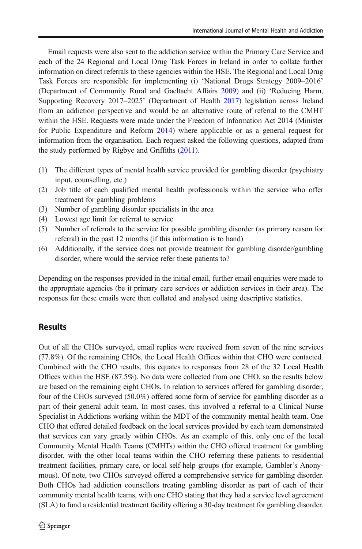Email requests were also sent to the addiction service within the Primary Care Service and each of the 24 Regional and Local Drug Task Forces in Ireland in order to collate further information on direct referrals to these agencies within the HSE. The Regional and Local Drug Task Forces are responsible for implementing (i) 'National Drugs Strategy 2009–2016' (Department of Community Rural and Gaeltacht Affairs [2009\)](#page-6-0) and (ii) 'Reducing Harm, Supporting Recovery 2017–2025' (Department of Health [2017](#page-6-0)) legislation across Ireland from an addiction perspective and would be an alternative route of referral to the CMHT within the HSE. Requests were made under the Freedom of Information Act 2014 (Minister for Public Expenditure and Reform [2014](#page-7-0)) where applicable or as a general request for information from the organisation. Each request asked the following questions, adapted from the study performed by Rigbye and Griffiths ([2011](#page-7-0)).

- (1) The different types of mental health service provided for gambling disorder (psychiatry input, counselling, etc.)
- (2) Job title of each qualified mental health professionals within the service who offer treatment for gambling problems
- (3) Number of gambling disorder specialists in the area
- (4) Lowest age limit for referral to service
- (5) Number of referrals to the service for possible gambling disorder (as primary reason for referral) in the past 12 months (if this information is to hand)
- (6) Additionally, if the service does not provide treatment for gambling disorder/gambling disorder, where would the service refer these patients to?

Depending on the responses provided in the initial email, further email enquiries were made to the appropriate agencies (be it primary care services or addiction services in their area). The responses for these emails were then collated and analysed using descriptive statistics.

## **Results**

Out of all the CHOs surveyed, email replies were received from seven of the nine services (77.8%). Of the remaining CHOs, the Local Health Offices within that CHO were contacted. Combined with the CHO results, this equates to responses from 28 of the 32 Local Health Offices within the HSE (87.5%). No data were collected from one CHO, so the results below are based on the remaining eight CHOs. In relation to services offered for gambling disorder, four of the CHOs surveyed (50.0%) offered some form of service for gambling disorder as a part of their general adult team. In most cases, this involved a referral to a Clinical Nurse Specialist in Addictions working within the MDT of the community mental health team. One CHO that offered detailed feedback on the local services provided by each team demonstrated that services can vary greatly within CHOs. As an example of this, only one of the local Community Mental Health Teams (CMHTs) within the CHO offered treatment for gambling disorder, with the other local teams within the CHO referring these patients to residential treatment facilities, primary care, or local self-help groups (for example, Gambler's Anonymous). Of note, two CHOs surveyed offered a comprehensive service for gambling disorder. Both CHOs had addiction counsellors treating gambling disorder as part of each of their community mental health teams, with one CHO stating that they had a service level agreement (SLA) to fund a residential treatment facility offering a 30-day treatment for gambling disorder.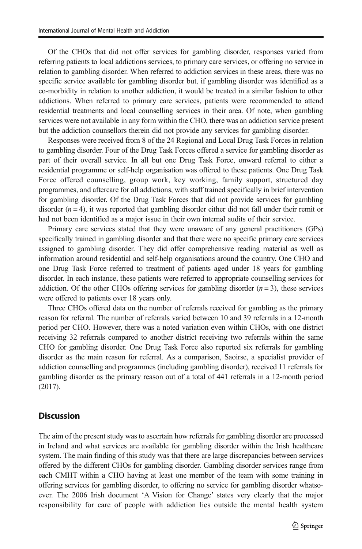Of the CHOs that did not offer services for gambling disorder, responses varied from referring patients to local addictions services, to primary care services, or offering no service in relation to gambling disorder. When referred to addiction services in these areas, there was no specific service available for gambling disorder but, if gambling disorder was identified as a co-morbidity in relation to another addiction, it would be treated in a similar fashion to other addictions. When referred to primary care services, patients were recommended to attend residential treatments and local counselling services in their area. Of note, when gambling services were not available in any form within the CHO, there was an addiction service present but the addiction counsellors therein did not provide any services for gambling disorder.

Responses were received from 8 of the 24 Regional and Local Drug Task Forces in relation to gambling disorder. Four of the Drug Task Forces offered a service for gambling disorder as part of their overall service. In all but one Drug Task Force, onward referral to either a residential programme or self-help organisation was offered to these patients. One Drug Task Force offered counselling, group work, key working, family support, structured day programmes, and aftercare for all addictions, with staff trained specifically in brief intervention for gambling disorder. Of the Drug Task Forces that did not provide services for gambling disorder  $(n = 4)$ , it was reported that gambling disorder either did not fall under their remit or had not been identified as a major issue in their own internal audits of their service.

Primary care services stated that they were unaware of any general practitioners (GPs) specifically trained in gambling disorder and that there were no specific primary care services assigned to gambling disorder. They did offer comprehensive reading material as well as information around residential and self-help organisations around the country. One CHO and one Drug Task Force referred to treatment of patients aged under 18 years for gambling disorder. In each instance, these patients were referred to appropriate counselling services for addiction. Of the other CHOs offering services for gambling disorder  $(n=3)$ , these services were offered to patients over 18 years only.

Three CHOs offered data on the number of referrals received for gambling as the primary reason for referral. The number of referrals varied between 10 and 39 referrals in a 12-month period per CHO. However, there was a noted variation even within CHOs, with one district receiving 32 referrals compared to another district receiving two referrals within the same CHO for gambling disorder. One Drug Task Force also reported six referrals for gambling disorder as the main reason for referral. As a comparison, Saoirse, a specialist provider of addiction counselling and programmes (including gambling disorder), received 11 referrals for gambling disorder as the primary reason out of a total of 441 referrals in a 12-month period (2017).

#### **Discussion**

The aim of the present study was to ascertain how referrals for gambling disorder are processed in Ireland and what services are available for gambling disorder within the Irish healthcare system. The main finding of this study was that there are large discrepancies between services offered by the different CHOs for gambling disorder. Gambling disorder services range from each CMHT within a CHO having at least one member of the team with some training in offering services for gambling disorder, to offering no service for gambling disorder whatsoever. The 2006 Irish document 'A Vision for Change' states very clearly that the major responsibility for care of people with addiction lies outside the mental health system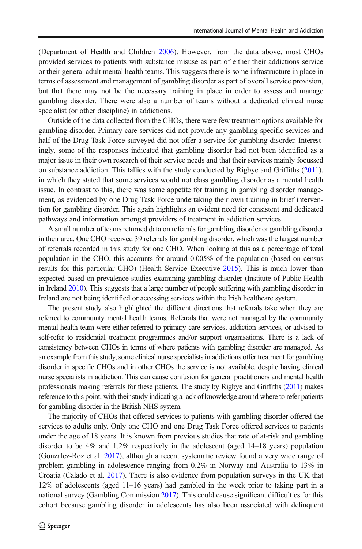(Department of Health and Children [2006](#page-6-0)). However, from the data above, most CHOs provided services to patients with substance misuse as part of either their addictions service or their general adult mental health teams. This suggests there is some infrastructure in place in terms of assessment and management of gambling disorder as part of overall service provision, but that there may not be the necessary training in place in order to assess and manage gambling disorder. There were also a number of teams without a dedicated clinical nurse specialist (or other discipline) in addictions.

Outside of the data collected from the CHOs, there were few treatment options available for gambling disorder. Primary care services did not provide any gambling-specific services and half of the Drug Task Force surveyed did not offer a service for gambling disorder. Interestingly, some of the responses indicated that gambling disorder had not been identified as a major issue in their own research of their service needs and that their services mainly focussed on substance addiction. This tallies with the study conducted by Rigbye and Griffiths [\(2011](#page-7-0)), in which they stated that some services would not class gambling disorder as a mental health issue. In contrast to this, there was some appetite for training in gambling disorder management, as evidenced by one Drug Task Force undertaking their own training in brief intervention for gambling disorder. This again highlights an evident need for consistent and dedicated pathways and information amongst providers of treatment in addiction services.

A small number of teams returned data on referrals for gambling disorder or gambling disorder in their area. One CHO received 39 referrals for gambling disorder, which was the largest number of referrals recorded in this study for one CHO. When looking at this as a percentage of total population in the CHO, this accounts for around 0.005% of the population (based on census results for this particular CHO) (Health Service Executive [2015](#page-7-0)). This is much lower than expected based on prevalence studies examining gambling disorder (Institute of Public Health in Ireland [2010](#page-7-0)). This suggests that a large number of people suffering with gambling disorder in Ireland are not being identified or accessing services within the Irish healthcare system.

The present study also highlighted the different directions that referrals take when they are referred to community mental health teams. Referrals that were not managed by the community mental health team were either referred to primary care services, addiction services, or advised to self-refer to residential treatment programmes and/or support organisations. There is a lack of consistency between CHOs in terms of where patients with gambling disorder are managed. As an example from this study, some clinical nurse specialists in addictions offer treatment for gambling disorder in specific CHOs and in other CHOs the service is not available, despite having clinical nurse specialists in addiction. This can cause confusion for general practitioners and mental health professionals making referrals for these patients. The study by Rigbye and Griffiths [\(2011](#page-7-0)) makes reference to this point, with their study indicating a lack of knowledge around where to refer patients for gambling disorder in the British NHS system.

The majority of CHOs that offered services to patients with gambling disorder offered the services to adults only. Only one CHO and one Drug Task Force offered services to patients under the age of 18 years. It is known from previous studies that rate of at-risk and gambling disorder to be 4% and 1.2% respectively in the adolescent (aged 14–18 years) population (Gonzalez-Roz et al. [2017\)](#page-7-0), although a recent systematic review found a very wide range of problem gambling in adolescence ranging from 0.2% in Norway and Australia to 13% in Croatia (Calado et al. [2017\)](#page-6-0). There is also evidence from population surveys in the UK that 12% of adolescents (aged 11–16 years) had gambled in the week prior to taking part in a national survey (Gambling Commission [2017](#page-7-0)). This could cause significant difficulties for this cohort because gambling disorder in adolescents has also been associated with delinquent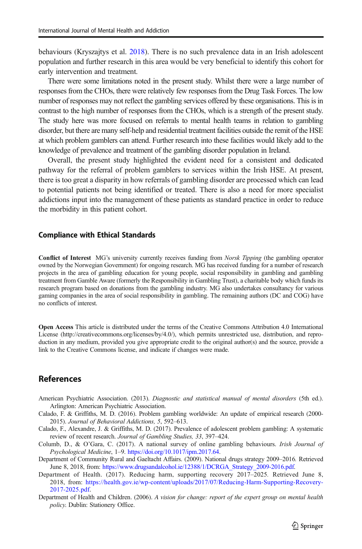<span id="page-6-0"></span>behaviours (Kryszajtys et al. [2018\)](#page-7-0). There is no such prevalence data in an Irish adolescent population and further research in this area would be very beneficial to identify this cohort for early intervention and treatment.

There were some limitations noted in the present study. Whilst there were a large number of responses from the CHOs, there were relatively few responses from the Drug Task Forces. The low number of responses may not reflect the gambling services offered by these organisations. This is in contrast to the high number of responses from the CHOs, which is a strength of the present study. The study here was more focused on referrals to mental health teams in relation to gambling disorder, but there are many self-help and residential treatment facilities outside the remit of the HSE at which problem gamblers can attend. Further research into these facilities would likely add to the knowledge of prevalence and treatment of the gambling disorder population in Ireland.

Overall, the present study highlighted the evident need for a consistent and dedicated pathway for the referral of problem gamblers to services within the Irish HSE. At present, there is too great a disparity in how referrals of gambling disorder are processed which can lead to potential patients not being identified or treated. There is also a need for more specialist addictions input into the management of these patients as standard practice in order to reduce the morbidity in this patient cohort.

#### Compliance with Ethical Standards

Conflict of Interest MG's university currently receives funding from Norsk Tipping (the gambling operator owned by the Norwegian Government) for ongoing research. MG has received funding for a number of research projects in the area of gambling education for young people, social responsibility in gambling and gambling treatment from Gamble Aware (formerly the Responsibility in Gambling Trust), a charitable body which funds its research program based on donations from the gambling industry. MG also undertakes consultancy for various gaming companies in the area of social responsibility in gambling. The remaining authors (DC and COG) have no conflicts of interest.

Open Access This article is distributed under the terms of the Creative Commons Attribution 4.0 International License (http://creativecommons.org/licenses/by/4.0/), which permits unrestricted use, distribution, and reproduction in any medium, provided you give appropriate credit to the original author(s) and the source, provide a link to the Creative Commons license, and indicate if changes were made.

### References

- American Psychiatric Association. (2013). Diagnostic and statistical manual of mental disorders (5th ed.). Arlington: American Psychiatric Association.
- Calado, F. & Griffiths, M. D. (2016). Problem gambling worldwide: An update of empirical research (2000- 2015). Journal of Behavioral Addictions, 5, 592–613.
- Calado, F., Alexandre, J. & Griffiths, M. D. (2017). Prevalence of adolescent problem gambling: A systematic review of recent research. Journal of Gambling Studies, 33, 397–424.
- Columb, D., & O'Gara, C. (2017). A national survey of online gambling behaviours. Irish Journal of Psychological Medicine, 1–9. <https://doi.org/10.1017/ipm.2017.64>.
- Department of Community Rural and Gaeltacht Affairs. (2009). National drugs strategy 2009–2016. Retrieved June 8, 2018, from: [https://www.drugsandalcohol.ie/12388/1/DCRGA\\_Strategy\\_2009-2016.pdf.](https://www.drugsandalcohol.ie/12388/1/DCRGA_Strategy_2009-2016.pdf)
- Department of Health. (2017). Reducing harm, supporting recovery 2017–2025. Retrieved June 8, 2018, from: [https://health.gov.ie/wp-content/uploads/2017/07/Reducing-Harm-Supporting-Recovery-](https://health.gov.ie/wp-content/uploads/2017/07/Reducing-Harm-Supporting-Recovery-2017-2025.pdf)[2017-2025.pdf.](https://health.gov.ie/wp-content/uploads/2017/07/Reducing-Harm-Supporting-Recovery-2017-2025.pdf)
- Department of Health and Children. (2006). A vision for change: report of the expert group on mental health policy. Dublin: Stationery Office.